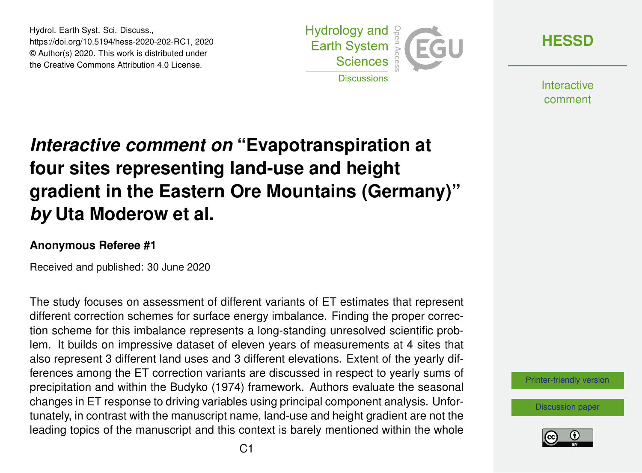Hydrol. Earth Syst. Sci. Discuss., https://doi.org/10.5194/hess-2020-202-RC1, 2020 © Author(s) 2020. This work is distributed under the Creative Commons Attribution 4.0 License.



**[HESSD](https://www.hydrol-earth-syst-sci-discuss.net/)**

**Interactive** comment

## *Interactive comment on* **"Evapotranspiration at four sites representing land-use and height gradient in the Eastern Ore Mountains (Germany)"** *by* **Uta Moderow et al.**

## **Anonymous Referee #1**

Received and published: 30 June 2020

The study focuses on assessment of different variants of ET estimates that represent different correction schemes for surface energy imbalance. Finding the proper correction scheme for this imbalance represents a long-standing unresolved scientific problem. It builds on impressive dataset of eleven years of measurements at 4 sites that also represent 3 different land uses and 3 different elevations. Extent of the yearly differences among the ET correction variants are discussed in respect to yearly sums of precipitation and within the Budyko (1974) framework. Authors evaluate the seasonal changes in ET response to driving variables using principal component analysis. Unfortunately, in contrast with the manuscript name, land-use and height gradient are not the leading topics of the manuscript and this context is barely mentioned within the whole

[Printer-friendly version](https://www.hydrol-earth-syst-sci-discuss.net/hess-2020-202/hess-2020-202-RC1-print.pdf)

[Discussion paper](https://www.hydrol-earth-syst-sci-discuss.net/hess-2020-202)

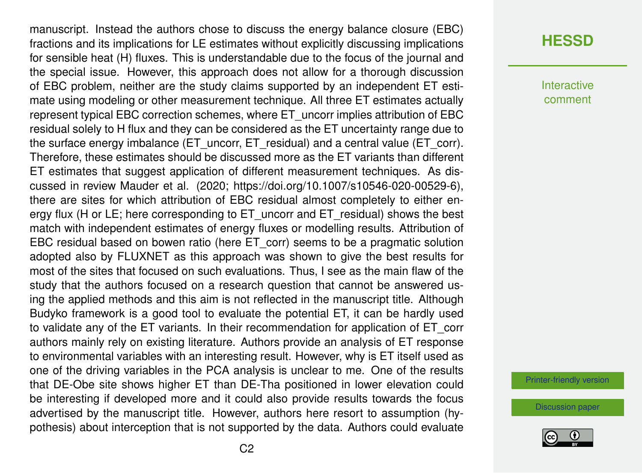manuscript. Instead the authors chose to discuss the energy balance closure (EBC) fractions and its implications for LE estimates without explicitly discussing implications for sensible heat (H) fluxes. This is understandable due to the focus of the journal and the special issue. However, this approach does not allow for a thorough discussion of EBC problem, neither are the study claims supported by an independent ET estimate using modeling or other measurement technique. All three ET estimates actually represent typical EBC correction schemes, where ET\_uncorr implies attribution of EBC residual solely to H flux and they can be considered as the ET uncertainty range due to the surface energy imbalance (ET\_uncorr, ET\_residual) and a central value (ET\_corr). Therefore, these estimates should be discussed more as the ET variants than different ET estimates that suggest application of different measurement techniques. As discussed in review Mauder et al. (2020; https://doi.org/10.1007/s10546-020-00529-6), there are sites for which attribution of EBC residual almost completely to either energy flux (H or LE; here corresponding to ET uncorr and ET residual) shows the best match with independent estimates of energy fluxes or modelling results. Attribution of EBC residual based on bowen ratio (here ET\_corr) seems to be a pragmatic solution adopted also by FLUXNET as this approach was shown to give the best results for most of the sites that focused on such evaluations. Thus, I see as the main flaw of the study that the authors focused on a research question that cannot be answered using the applied methods and this aim is not reflected in the manuscript title. Although Budyko framework is a good tool to evaluate the potential ET, it can be hardly used to validate any of the ET variants. In their recommendation for application of ET\_corr authors mainly rely on existing literature. Authors provide an analysis of ET response to environmental variables with an interesting result. However, why is ET itself used as one of the driving variables in the PCA analysis is unclear to me. One of the results that DE-Obe site shows higher ET than DE-Tha positioned in lower elevation could be interesting if developed more and it could also provide results towards the focus advertised by the manuscript title. However, authors here resort to assumption (hypothesis) about interception that is not supported by the data. Authors could evaluate

## **[HESSD](https://www.hydrol-earth-syst-sci-discuss.net/)**

**Interactive** comment

[Printer-friendly version](https://www.hydrol-earth-syst-sci-discuss.net/hess-2020-202/hess-2020-202-RC1-print.pdf)

[Discussion paper](https://www.hydrol-earth-syst-sci-discuss.net/hess-2020-202)